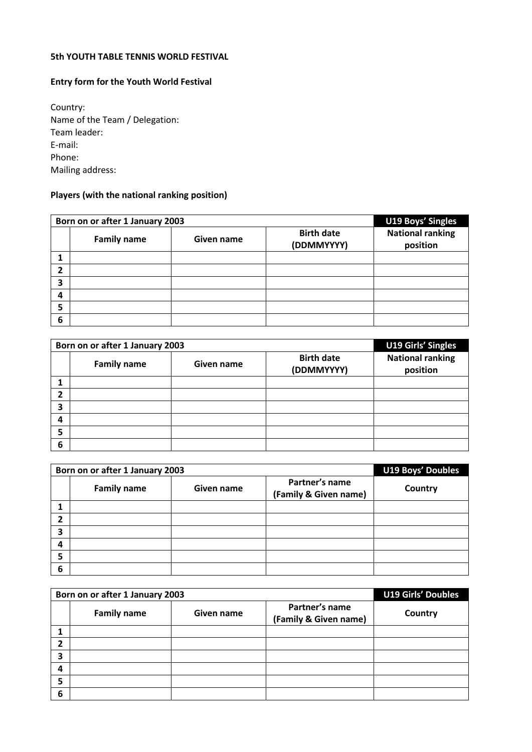## **5th YOUTH TABLE TENNIS WORLD FESTIVAL**

## **Entry form for the Youth World Festival**

Country: Name of the Team / Delegation: Team leader: E-mail: Phone: Mailing address:

## **Players (with the national ranking position)**

|   | Born on or after 1 January 2003 | U19 Boys' Singles |                                 |                                     |
|---|---------------------------------|-------------------|---------------------------------|-------------------------------------|
|   | <b>Family name</b>              | Given name        | <b>Birth date</b><br>(DDMMYYYY) | <b>National ranking</b><br>position |
|   |                                 |                   |                                 |                                     |
| 2 |                                 |                   |                                 |                                     |
| 3 |                                 |                   |                                 |                                     |
| 4 |                                 |                   |                                 |                                     |
| 5 |                                 |                   |                                 |                                     |
| 6 |                                 |                   |                                 |                                     |

|   | Born on or after 1 January 2003 | U19 Girls' Singles |                                 |                                     |
|---|---------------------------------|--------------------|---------------------------------|-------------------------------------|
|   | <b>Family name</b>              | Given name         | <b>Birth date</b><br>(DDMMYYYY) | <b>National ranking</b><br>position |
|   |                                 |                    |                                 |                                     |
| ን |                                 |                    |                                 |                                     |
| 3 |                                 |                    |                                 |                                     |
| 4 |                                 |                    |                                 |                                     |
| 5 |                                 |                    |                                 |                                     |
| 6 |                                 |                    |                                 |                                     |

|   | Born on or after 1 January 2003 | <b>U19 Boys' Doubles</b> |                                         |         |
|---|---------------------------------|--------------------------|-----------------------------------------|---------|
|   | <b>Family name</b>              | Given name               | Partner's name<br>(Family & Given name) | Country |
|   |                                 |                          |                                         |         |
| 2 |                                 |                          |                                         |         |
| 3 |                                 |                          |                                         |         |
| 4 |                                 |                          |                                         |         |
| 5 |                                 |                          |                                         |         |
| 6 |                                 |                          |                                         |         |

|   | Born on or after 1 January 2003 | <b>U19 Girls' Doubles</b> |                                         |         |
|---|---------------------------------|---------------------------|-----------------------------------------|---------|
|   | <b>Family name</b>              | Given name                | Partner's name<br>(Family & Given name) | Country |
|   |                                 |                           |                                         |         |
| ኀ |                                 |                           |                                         |         |
| 3 |                                 |                           |                                         |         |
| 4 |                                 |                           |                                         |         |
| 5 |                                 |                           |                                         |         |
| 6 |                                 |                           |                                         |         |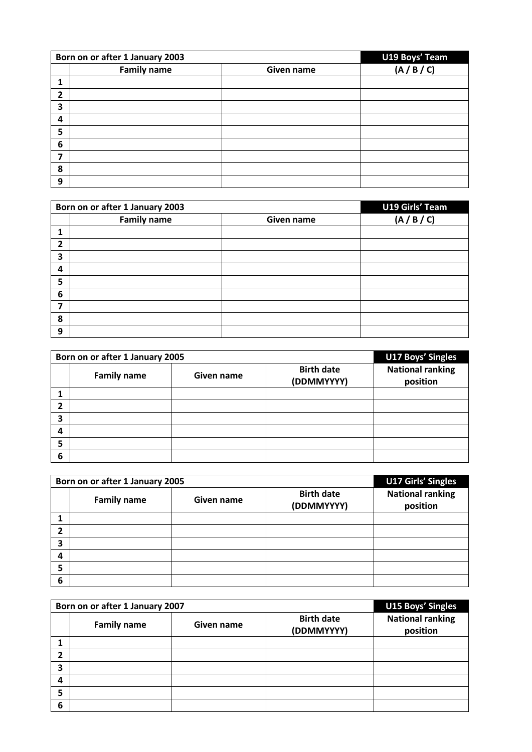|   | Born on or after 1 January 2003 | U19 Boys' Team |         |
|---|---------------------------------|----------------|---------|
|   | <b>Family name</b>              | Given name     | (A/B/C) |
|   |                                 |                |         |
| 2 |                                 |                |         |
| 3 |                                 |                |         |
| 4 |                                 |                |         |
| 5 |                                 |                |         |
| 6 |                                 |                |         |
| 7 |                                 |                |         |
| 8 |                                 |                |         |
| 9 |                                 |                |         |

|   | Born on or after 1 January 2003 | <b>U19 Girls' Team</b> |             |
|---|---------------------------------|------------------------|-------------|
|   | <b>Family name</b>              | Given name             | (A / B / C) |
|   |                                 |                        |             |
| 2 |                                 |                        |             |
| 3 |                                 |                        |             |
| 4 |                                 |                        |             |
| 5 |                                 |                        |             |
| 6 |                                 |                        |             |
| 7 |                                 |                        |             |
| 8 |                                 |                        |             |
| 9 |                                 |                        |             |

|   | Born on or after 1 January 2005 | <b>U17 Boys' Singles</b> |                                 |                                     |
|---|---------------------------------|--------------------------|---------------------------------|-------------------------------------|
|   | <b>Family name</b>              | Given name               | <b>Birth date</b><br>(DDMMYYYY) | <b>National ranking</b><br>position |
|   |                                 |                          |                                 |                                     |
|   |                                 |                          |                                 |                                     |
| э |                                 |                          |                                 |                                     |
| 4 |                                 |                          |                                 |                                     |
| 5 |                                 |                          |                                 |                                     |
| 6 |                                 |                          |                                 |                                     |

|   | Born on or after 1 January 2005 | U17 Girls' Singles |                                 |                                     |
|---|---------------------------------|--------------------|---------------------------------|-------------------------------------|
|   | <b>Family name</b>              | Given name         | <b>Birth date</b><br>(DDMMYYYY) | <b>National ranking</b><br>position |
|   |                                 |                    |                                 |                                     |
| າ |                                 |                    |                                 |                                     |
| 3 |                                 |                    |                                 |                                     |
| 4 |                                 |                    |                                 |                                     |
| 5 |                                 |                    |                                 |                                     |
| 6 |                                 |                    |                                 |                                     |

| Born on or after 1 January 2007 |                    |            |                                 | <b>U15 Boys' Singles</b>            |
|---------------------------------|--------------------|------------|---------------------------------|-------------------------------------|
|                                 | <b>Family name</b> | Given name | <b>Birth date</b><br>(DDMMYYYY) | <b>National ranking</b><br>position |
|                                 |                    |            |                                 |                                     |
| י                               |                    |            |                                 |                                     |
| 3                               |                    |            |                                 |                                     |
| 4                               |                    |            |                                 |                                     |
| 5                               |                    |            |                                 |                                     |
| 6                               |                    |            |                                 |                                     |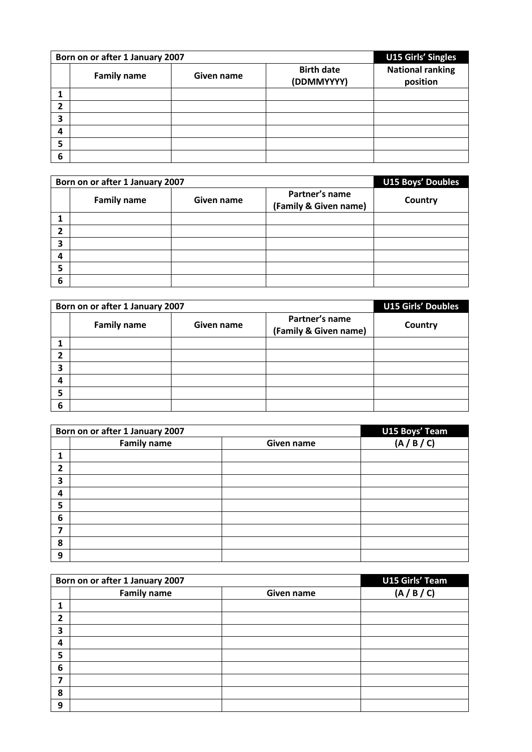|   | Born on or after 1 January 2007 | U15 Girls' Singles |                                 |                                     |
|---|---------------------------------|--------------------|---------------------------------|-------------------------------------|
|   | <b>Family name</b>              | Given name         | <b>Birth date</b><br>(DDMMYYYY) | <b>National ranking</b><br>position |
|   |                                 |                    |                                 |                                     |
| 2 |                                 |                    |                                 |                                     |
| 3 |                                 |                    |                                 |                                     |
| 4 |                                 |                    |                                 |                                     |
| 5 |                                 |                    |                                 |                                     |
| 6 |                                 |                    |                                 |                                     |

|   | Born on or after 1 January 2007 | <b>U15 Boys' Doubles</b> |                                         |         |
|---|---------------------------------|--------------------------|-----------------------------------------|---------|
|   | <b>Family name</b>              | Given name               | Partner's name<br>(Family & Given name) | Country |
|   |                                 |                          |                                         |         |
| 2 |                                 |                          |                                         |         |
| 3 |                                 |                          |                                         |         |
| 4 |                                 |                          |                                         |         |
| 5 |                                 |                          |                                         |         |
| 6 |                                 |                          |                                         |         |

|   | Born on or after 1 January 2007 | <b>U15 Girls' Doubles</b> |                                         |         |
|---|---------------------------------|---------------------------|-----------------------------------------|---------|
|   | <b>Family name</b>              | Given name                | Partner's name<br>(Family & Given name) | Country |
|   |                                 |                           |                                         |         |
| ኀ |                                 |                           |                                         |         |
| 3 |                                 |                           |                                         |         |
| 4 |                                 |                           |                                         |         |
| 5 |                                 |                           |                                         |         |
| 6 |                                 |                           |                                         |         |

| Born on or after 1 January 2007 |                    |            | U15 Boys' Team |
|---------------------------------|--------------------|------------|----------------|
|                                 | <b>Family name</b> | Given name | (A/B/C)        |
| 1                               |                    |            |                |
| 2                               |                    |            |                |
| 3                               |                    |            |                |
| 4                               |                    |            |                |
| 5                               |                    |            |                |
| 6                               |                    |            |                |
| 7                               |                    |            |                |
| 8                               |                    |            |                |
| 9                               |                    |            |                |

| Born on or after 1 January 2007 |                    |            | <b>U15 Girls' Team</b> |
|---------------------------------|--------------------|------------|------------------------|
|                                 | <b>Family name</b> | Given name | (A/B/C)                |
| 1                               |                    |            |                        |
| $\mathbf{2}$                    |                    |            |                        |
| 3                               |                    |            |                        |
| 4                               |                    |            |                        |
| 5                               |                    |            |                        |
| 6                               |                    |            |                        |
| 7                               |                    |            |                        |
| 8                               |                    |            |                        |
| 9                               |                    |            |                        |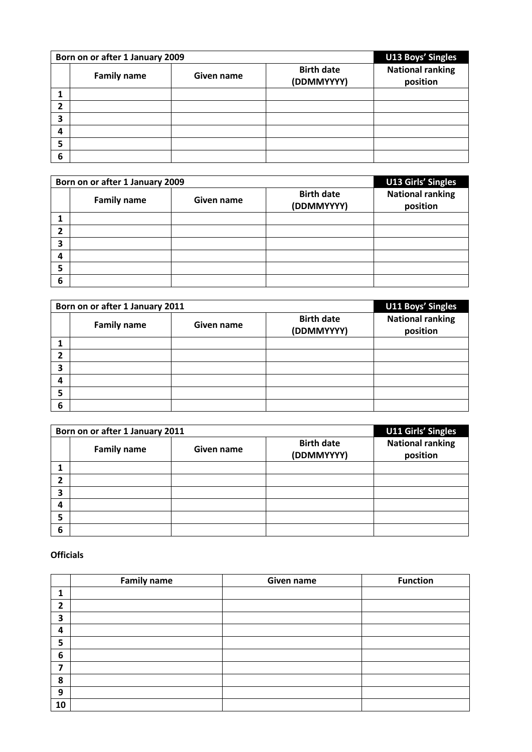| Born on or after 1 January 2009 |                    |            |                                 | <b>U13 Boys' Singles</b>            |
|---------------------------------|--------------------|------------|---------------------------------|-------------------------------------|
|                                 | <b>Family name</b> | Given name | <b>Birth date</b><br>(DDMMYYYY) | <b>National ranking</b><br>position |
|                                 |                    |            |                                 |                                     |
| 2                               |                    |            |                                 |                                     |
| 3                               |                    |            |                                 |                                     |
| 4                               |                    |            |                                 |                                     |
| 5                               |                    |            |                                 |                                     |
| 6                               |                    |            |                                 |                                     |

| Born on or after 1 January 2009 |                    |            |                                 | <b>U13 Girls' Singles</b>           |
|---------------------------------|--------------------|------------|---------------------------------|-------------------------------------|
|                                 | <b>Family name</b> | Given name | <b>Birth date</b><br>(DDMMYYYY) | <b>National ranking</b><br>position |
|                                 |                    |            |                                 |                                     |
| 2                               |                    |            |                                 |                                     |
| 3                               |                    |            |                                 |                                     |
| 4                               |                    |            |                                 |                                     |
| 5                               |                    |            |                                 |                                     |
| 6                               |                    |            |                                 |                                     |

| Born on or after 1 January 2011 |                    |            |                                 | U11 Boys' Singles                   |
|---------------------------------|--------------------|------------|---------------------------------|-------------------------------------|
|                                 | <b>Family name</b> | Given name | <b>Birth date</b><br>(DDMMYYYY) | <b>National ranking</b><br>position |
|                                 |                    |            |                                 |                                     |
| ን                               |                    |            |                                 |                                     |
| 3                               |                    |            |                                 |                                     |
| 4                               |                    |            |                                 |                                     |
| 5                               |                    |            |                                 |                                     |
| 6                               |                    |            |                                 |                                     |

| Born on or after 1 January 2011 |                    |            |                                 | U11 Girls' Singles                  |
|---------------------------------|--------------------|------------|---------------------------------|-------------------------------------|
|                                 | <b>Family name</b> | Given name | <b>Birth date</b><br>(DDMMYYYY) | <b>National ranking</b><br>position |
|                                 |                    |            |                                 |                                     |
| 2                               |                    |            |                                 |                                     |
| 3                               |                    |            |                                 |                                     |
| 4                               |                    |            |                                 |                                     |
| 5                               |                    |            |                                 |                                     |
| 6                               |                    |            |                                 |                                     |

## **Officials**

|                | <b>Family name</b> | Given name | <b>Function</b> |
|----------------|--------------------|------------|-----------------|
| 1              |                    |            |                 |
| $\overline{2}$ |                    |            |                 |
| 3              |                    |            |                 |
| 4              |                    |            |                 |
| 5              |                    |            |                 |
| 6              |                    |            |                 |
| 7              |                    |            |                 |
| 8              |                    |            |                 |
| 9              |                    |            |                 |
| 10             |                    |            |                 |